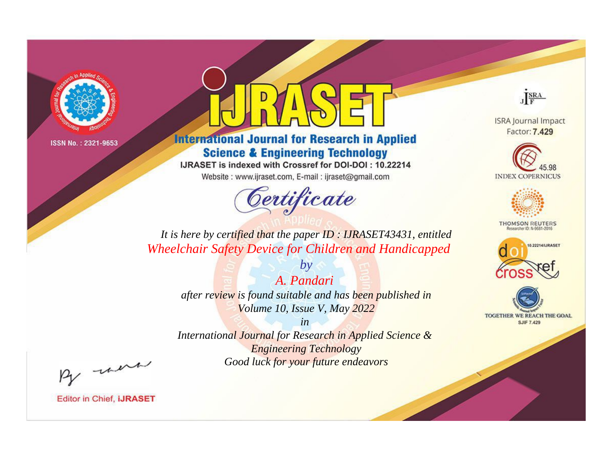

# **International Journal for Research in Applied Science & Engineering Technology**

IJRASET is indexed with Crossref for DOI-DOI: 10.22214

Website: www.ijraset.com, E-mail: ijraset@gmail.com



JERA

**ISRA Journal Impact** Factor: 7.429





**THOMSON REUTERS** 



TOGETHER WE REACH THE GOAL **SJIF 7.429** 

*It is here by certified that the paper ID : IJRASET43431, entitled Wheelchair Safety Device for Children and Handicapped*

*A. Pandari after review is found suitable and has been published in Volume 10, Issue V, May 2022*

*by*

*in* 

*International Journal for Research in Applied Science & Engineering Technology Good luck for your future endeavors*

By morn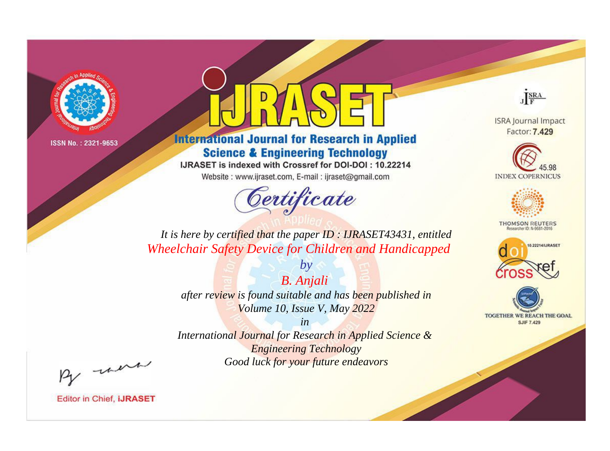

# **International Journal for Research in Applied Science & Engineering Technology**

IJRASET is indexed with Crossref for DOI-DOI: 10.22214

Website: www.ijraset.com, E-mail: ijraset@gmail.com



JERA

**ISRA Journal Impact** Factor: 7.429





**THOMSON REUTERS** 



TOGETHER WE REACH THE GOAL **SJIF 7.429** 

*It is here by certified that the paper ID : IJRASET43431, entitled Wheelchair Safety Device for Children and Handicapped*

> *B. Anjali after review is found suitable and has been published in Volume 10, Issue V, May 2022*

*by*

*in* 

*International Journal for Research in Applied Science & Engineering Technology Good luck for your future endeavors*

By morn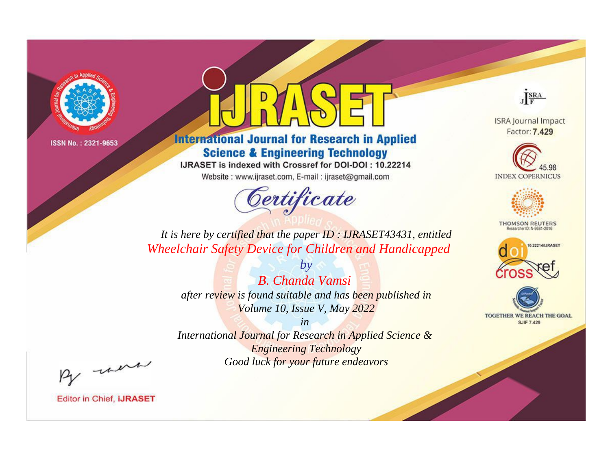

# **International Journal for Research in Applied Science & Engineering Technology**

IJRASET is indexed with Crossref for DOI-DOI: 10.22214

Website: www.ijraset.com, E-mail: ijraset@gmail.com



JERA

**ISRA Journal Impact** Factor: 7.429





**THOMSON REUTERS** 



TOGETHER WE REACH THE GOAL **SJIF 7.429** 

*It is here by certified that the paper ID : IJRASET43431, entitled Wheelchair Safety Device for Children and Handicapped*

> *by B. Chanda Vamsi after review is found suitable and has been published in Volume 10, Issue V, May 2022*

> > *in*

*International Journal for Research in Applied Science & Engineering Technology Good luck for your future endeavors*

By morn